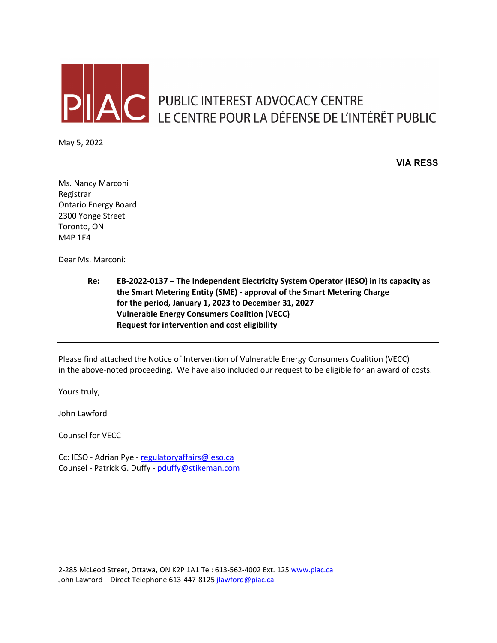

AC PUBLIC INTEREST ADVOCACY CENTRE<br>LE CENTRE POUR LA DÉFENSE DE L'INTÉRÊT PUBLIC

May 5, 2022

**VIA RESS**

Ms. Nancy Marconi Registrar Ontario Energy Board 2300 Yonge Street Toronto, ON M4P 1E4

Dear Ms. Marconi:

**Re: EB-2022-0137 – The Independent Electricity System Operator (IESO) in its capacity as the Smart Metering Entity (SME) - approval of the Smart Metering Charge for the period, January 1, 2023 to December 31, 2027 Vulnerable Energy Consumers Coalition (VECC) Request for intervention and cost eligibility**

Please find attached the Notice of Intervention of Vulnerable Energy Consumers Coalition (VECC) in the above-noted proceeding. We have also included our request to be eligible for an award of costs.

Yours truly,

John Lawford

Counsel for VECC

Cc: IESO - Adrian Pye - [regulatoryaffairs@ieso.ca](mailto:regulatoryaffairs@ieso.ca) Counsel - Patrick G. Duffy - [pduffy@stikeman.com](mailto:pduffy@stikeman.com)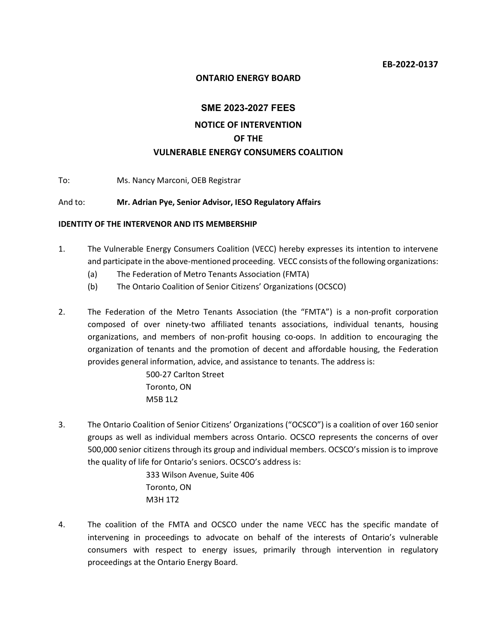#### **ONTARIO ENERGY BOARD**

# **SME 2023-2027 FEES NOTICE OF INTERVENTION OF THE VULNERABLE ENERGY CONSUMERS COALITION**

To: Ms. Nancy Marconi, OEB Registrar

#### And to: **Mr. Adrian Pye, Senior Advisor, IESO Regulatory Affairs**

#### **IDENTITY OF THE INTERVENOR AND ITS MEMBERSHIP**

- 1. The Vulnerable Energy Consumers Coalition (VECC) hereby expresses its intention to intervene and participate in the above-mentioned proceeding. VECC consists of the following organizations:
	- (a) The Federation of Metro Tenants Association (FMTA)
	- (b) The Ontario Coalition of Senior Citizens' Organizations (OCSCO)
- 2. The Federation of the Metro Tenants Association (the "FMTA") is a non-profit corporation composed of over ninety-two affiliated tenants associations, individual tenants, housing organizations, and members of non-profit housing co-oops. In addition to encouraging the organization of tenants and the promotion of decent and affordable housing, the Federation provides general information, advice, and assistance to tenants. The address is:

500-27 Carlton Street Toronto, ON M5B 1L2

3. The Ontario Coalition of Senior Citizens' Organizations ("OCSCO") is a coalition of over 160 senior groups as well as individual members across Ontario. OCSCO represents the concerns of over 500,000 senior citizens through its group and individual members. OCSCO's mission is to improve the quality of life for Ontario's seniors. OCSCO's address is:

> 333 Wilson Avenue, Suite 406 Toronto, ON M3H 1T2

4. The coalition of the FMTA and OCSCO under the name VECC has the specific mandate of intervening in proceedings to advocate on behalf of the interests of Ontario's vulnerable consumers with respect to energy issues, primarily through intervention in regulatory proceedings at the Ontario Energy Board.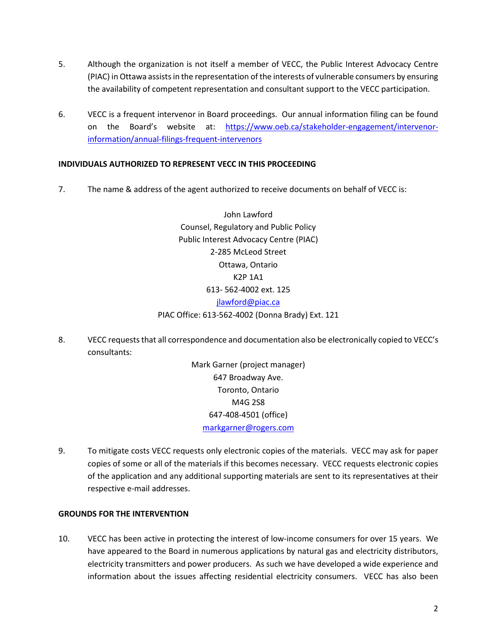- 5. Although the organization is not itself a member of VECC, the Public Interest Advocacy Centre (PIAC) in Ottawa assists in the representation of the interests of vulnerable consumers by ensuring the availability of competent representation and consultant support to the VECC participation.
- 6. VECC is a frequent intervenor in Board proceedings. Our annual information filing can be found on the Board's website at: [https://www.oeb.ca/stakeholder-engagement/intervenor](https://www.oeb.ca/stakeholder-engagement/intervenor-information/annual-filings-frequent-intervenors)[information/annual-filings-frequent-intervenors](https://www.oeb.ca/stakeholder-engagement/intervenor-information/annual-filings-frequent-intervenors)

## **INDIVIDUALS AUTHORIZED TO REPRESENT VECC IN THIS PROCEEDING**

7. The name & address of the agent authorized to receive documents on behalf of VECC is:

John Lawford Counsel, Regulatory and Public Policy Public Interest Advocacy Centre (PIAC) 2-285 McLeod Street Ottawa, Ontario K2P 1A1 613- 562-4002 ext. 125 [jlawford@piac.ca](mailto:jlawford@piac.ca) PIAC Office: 613-562-4002 (Donna Brady) Ext. 121

8. VECC requeststhat all correspondence and documentation also be electronically copied to VECC's consultants:

> Mark Garner (project manager) 647 Broadway Ave. Toronto, Ontario M4G 2S8 647-408-4501 (office) [markgarner@rogers.com](mailto:markgarner@rogers.com)

9. To mitigate costs VECC requests only electronic copies of the materials. VECC may ask for paper copies of some or all of the materials if this becomes necessary. VECC requests electronic copies of the application and any additional supporting materials are sent to its representatives at their respective e-mail addresses.

### **GROUNDS FOR THE INTERVENTION**

10. VECC has been active in protecting the interest of low-income consumers for over 15 years. We have appeared to the Board in numerous applications by natural gas and electricity distributors, electricity transmitters and power producers. As such we have developed a wide experience and information about the issues affecting residential electricity consumers. VECC has also been